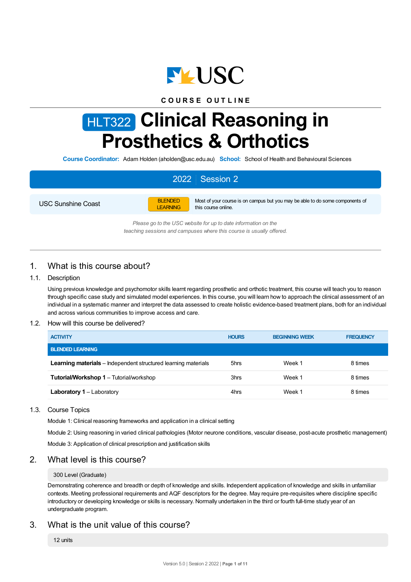

## **C O U R S E O U T L I N E**

# HLT322 **Clinical Reasoning in Prosthetics & Orthotics**

**Course Coordinator:** Adam Holden (aholden@usc.edu.au) **School:** School of Health and Behavioural Sciences

# 2022 Session 2

USC Sunshine Coast



Most of your course is on campus but you may be able to do some components of this course online.

*Please go to the USC website for up to date information on the teaching sessions and campuses where this course is usually offered.*

# 1. What is this course about?

#### 1.1. Description

Using previous knowledge and psychomotor skills learnt regarding prosthetic and orthotic treatment, this course will teach you to reason through specific case study and simulated model experiences. In this course, you will learn how to approach the clinical assessment of an individual in a systematic manner and interpret the data assessed to create holistic evidence-based treatment plans, both for an individual and across various communities to improve access and care.

#### 1.2. How will this course be delivered?

| <b>ACTIVITY</b>                                                       | <b>HOURS</b> | <b>BEGINNING WEEK</b> | <b>FREQUENCY</b> |
|-----------------------------------------------------------------------|--------------|-----------------------|------------------|
| <b>BLENDED LEARNING</b>                                               |              |                       |                  |
| <b>Learning materials</b> – Independent structured learning materials | 5hrs         | Week 1                | 8 times          |
| <b>Tutorial/Workshop 1 - Tutorial/workshop</b>                        | 3hrs         | Week 1                | 8 times          |
| <b>Laboratory 1</b> – Laboratory                                      | 4hrs         | Week 1                | 8 times          |

#### 1.3. Course Topics

Module 1: Clinical reasoning frameworks and application in a clinical setting

Module 2: Using reasoning in varied clinical pathologies (Motor neurone conditions, vascular disease, post-acute prosthetic management)

Module 3: Application of clinical prescription and justification skills

#### 2. What level is this course?

#### 300 Level (Graduate)

Demonstrating coherence and breadth or depth of knowledge and skills. Independent application of knowledge and skills in unfamiliar contexts. Meeting professional requirements and AQF descriptors for the degree. May require pre-requisites where discipline specific introductory or developing knowledge or skills is necessary. Normally undertaken in the third or fourth full-time study year of an undergraduate program.

# 3. What is the unit value of this course?

12 units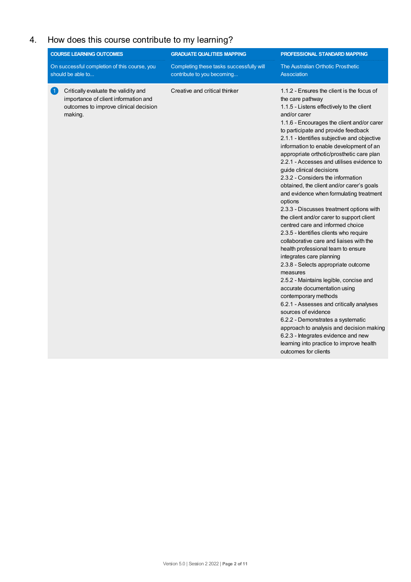# 4. How does this course contribute to my learning?

| <b>COURSE LEARNING OUTCOMES</b>                                                                                                                       | <b>GRADUATE QUALITIES MAPPING</b>                                      | PROFESSIONAL STANDARD MAPPING                                                                                                                                                                                                                                                                                                                                                                                                                                                                                                                                                                                                                                                                                                                                                                                                                                                                                                                                                                                                                                                                                                                                                                                                                                                    |
|-------------------------------------------------------------------------------------------------------------------------------------------------------|------------------------------------------------------------------------|----------------------------------------------------------------------------------------------------------------------------------------------------------------------------------------------------------------------------------------------------------------------------------------------------------------------------------------------------------------------------------------------------------------------------------------------------------------------------------------------------------------------------------------------------------------------------------------------------------------------------------------------------------------------------------------------------------------------------------------------------------------------------------------------------------------------------------------------------------------------------------------------------------------------------------------------------------------------------------------------------------------------------------------------------------------------------------------------------------------------------------------------------------------------------------------------------------------------------------------------------------------------------------|
| On successful completion of this course, you<br>should be able to                                                                                     | Completing these tasks successfully will<br>contribute to you becoming | The Australian Orthotic Prosthetic<br>Association                                                                                                                                                                                                                                                                                                                                                                                                                                                                                                                                                                                                                                                                                                                                                                                                                                                                                                                                                                                                                                                                                                                                                                                                                                |
| Critically evaluate the validity and<br>$\vert$ 1 $\vert$<br>importance of client information and<br>outcomes to improve clinical decision<br>making. | Creative and critical thinker                                          | 1.1.2 - Ensures the client is the focus of<br>the care pathway<br>1.1.5 - Listens effectively to the client<br>and/or carer<br>1.1.6 - Encourages the client and/or carer<br>to participate and provide feedback<br>2.1.1 - Identifies subjective and objective<br>information to enable development of an<br>appropriate orthotic/prosthetic care plan<br>2.2.1 - Accesses and utilises evidence to<br>guide clinical decisions<br>2.3.2 - Considers the information<br>obtained, the client and/or carer's goals<br>and evidence when formulating treatment<br>options<br>2.3.3 - Discusses treatment options with<br>the client and/or carer to support client<br>centred care and informed choice<br>2.3.5 - Identifies clients who require<br>collaborative care and liaises with the<br>health professional team to ensure<br>integrates care planning<br>2.3.8 - Selects appropriate outcome<br>measures<br>2.5.2 - Maintains legible, concise and<br>accurate documentation using<br>contemporary methods<br>6.2.1 - Assesses and critically analyses<br>sources of evidence<br>6.2.2 - Demonstrates a systematic<br>approach to analysis and decision making<br>6.2.3 - Integrates evidence and new<br>learning into practice to improve health<br>outcomes for clients |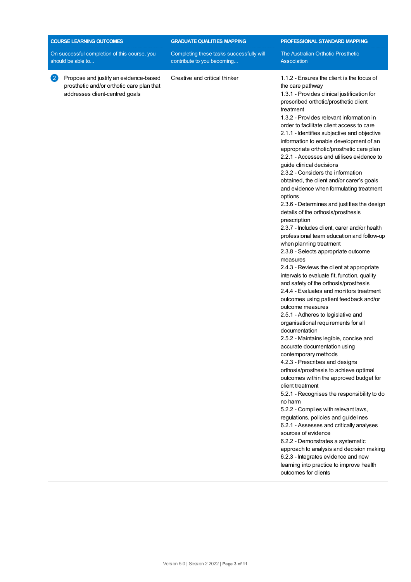| <b>COURSE LEARNING OUTCOMES</b><br><b>GRADUATE QUALITIES MAPPING</b>                                                                      |                                                                        | PROFESSIONAL STANDARD MAPPING                                                                                                                                                                                                                                                                                                                                                                                                                                                                                                                                                                                                                                                                                                                                                                                                                                                                                                                                                                                                                                                                                                                                                                                                                                                                                                                                                                                                                                                                                                                                                                                                                                                                                                                                                                                                                                                                            |
|-------------------------------------------------------------------------------------------------------------------------------------------|------------------------------------------------------------------------|----------------------------------------------------------------------------------------------------------------------------------------------------------------------------------------------------------------------------------------------------------------------------------------------------------------------------------------------------------------------------------------------------------------------------------------------------------------------------------------------------------------------------------------------------------------------------------------------------------------------------------------------------------------------------------------------------------------------------------------------------------------------------------------------------------------------------------------------------------------------------------------------------------------------------------------------------------------------------------------------------------------------------------------------------------------------------------------------------------------------------------------------------------------------------------------------------------------------------------------------------------------------------------------------------------------------------------------------------------------------------------------------------------------------------------------------------------------------------------------------------------------------------------------------------------------------------------------------------------------------------------------------------------------------------------------------------------------------------------------------------------------------------------------------------------------------------------------------------------------------------------------------------------|
| On successful completion of this course, you<br>should be able to                                                                         | Completing these tasks successfully will<br>contribute to you becoming | The Australian Orthotic Prosthetic<br>Association                                                                                                                                                                                                                                                                                                                                                                                                                                                                                                                                                                                                                                                                                                                                                                                                                                                                                                                                                                                                                                                                                                                                                                                                                                                                                                                                                                                                                                                                                                                                                                                                                                                                                                                                                                                                                                                        |
| $\left( 2\right)$<br>Propose and justify an evidence-based<br>prosthetic and/or orthotic care plan that<br>addresses client-centred goals | Creative and critical thinker                                          | 1.1.2 - Ensures the client is the focus of<br>the care pathway<br>1.3.1 - Provides clinical justification for<br>prescribed orthotic/prosthetic client<br>treatment<br>1.3.2 - Provides relevant information in<br>order to facilitate client access to care<br>2.1.1 - Identifies subjective and objective<br>information to enable development of an<br>appropriate orthotic/prosthetic care plan<br>2.2.1 - Accesses and utilises evidence to<br>guide clinical decisions<br>2.3.2 - Considers the information<br>obtained, the client and/or carer's goals<br>and evidence when formulating treatment<br>options<br>2.3.6 - Determines and justifies the design<br>details of the orthosis/prosthesis<br>prescription<br>2.3.7 - Includes client, carer and/or health<br>professional team education and follow-up<br>when planning treatment<br>2.3.8 - Selects appropriate outcome<br>measures<br>2.4.3 - Reviews the client at appropriate<br>intervals to evaluate fit, function, quality<br>and safety of the orthosis/prosthesis<br>2.4.4 - Evaluates and monitors treatment<br>outcomes using patient feedback and/or<br>outcome measures<br>2.5.1 - Adheres to legislative and<br>organisational requirements for all<br>documentation<br>2.5.2 - Maintains legible, concise and<br>accurate documentation using<br>contemporary methods<br>4.2.3 - Prescribes and designs<br>orthosis/prosthesis to achieve optimal<br>outcomes within the approved budget for<br>client treatment<br>5.2.1 - Recognises the responsibility to do<br>no harm<br>5.2.2 - Complies with relevant laws,<br>regulations, policies and guidelines<br>6.2.1 - Assesses and critically analyses<br>sources of evidence<br>6.2.2 - Demonstrates a systematic<br>approach to analysis and decision making<br>6.2.3 - Integrates evidence and new<br>learning into practice to improve health<br>outcomes for clients |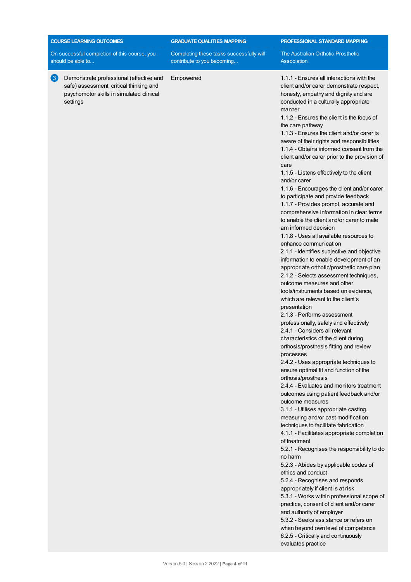| <b>COURSE LEARNING OUTCOMES</b>                                                                                                                                | <b>GRADUATE QUALITIES MAPPING</b><br>PROFESSIONAL STANDARD MAPPING     |                                                                                                                                                                                                                                                                                                                                                                                                                                                                                                                                                                                                                                                                                                                                                                                                                                                                                                                                                                                                                                                                                                                                                                                                                                                                                                                                                                                                                                                                                                                                                                                                                                                                                                                                                                                                                                                                                                                                                                                                                                                                                                                                                                                                                                             |
|----------------------------------------------------------------------------------------------------------------------------------------------------------------|------------------------------------------------------------------------|---------------------------------------------------------------------------------------------------------------------------------------------------------------------------------------------------------------------------------------------------------------------------------------------------------------------------------------------------------------------------------------------------------------------------------------------------------------------------------------------------------------------------------------------------------------------------------------------------------------------------------------------------------------------------------------------------------------------------------------------------------------------------------------------------------------------------------------------------------------------------------------------------------------------------------------------------------------------------------------------------------------------------------------------------------------------------------------------------------------------------------------------------------------------------------------------------------------------------------------------------------------------------------------------------------------------------------------------------------------------------------------------------------------------------------------------------------------------------------------------------------------------------------------------------------------------------------------------------------------------------------------------------------------------------------------------------------------------------------------------------------------------------------------------------------------------------------------------------------------------------------------------------------------------------------------------------------------------------------------------------------------------------------------------------------------------------------------------------------------------------------------------------------------------------------------------------------------------------------------------|
| On successful completion of this course, you<br>should be able to                                                                                              | Completing these tasks successfully will<br>contribute to you becoming | The Australian Orthotic Prosthetic<br>Association                                                                                                                                                                                                                                                                                                                                                                                                                                                                                                                                                                                                                                                                                                                                                                                                                                                                                                                                                                                                                                                                                                                                                                                                                                                                                                                                                                                                                                                                                                                                                                                                                                                                                                                                                                                                                                                                                                                                                                                                                                                                                                                                                                                           |
| $\left(3\right)$<br>Demonstrate professional (effective and<br>safe) assessment, critical thinking and<br>psychomotor skills in simulated clinical<br>settings | Empowered                                                              | 1.1.1 - Ensures all interactions with the<br>client and/or carer demonstrate respect,<br>honesty, empathy and dignity and are<br>conducted in a culturally appropriate<br>manner<br>1.1.2 - Ensures the client is the focus of<br>the care pathway<br>1.1.3 - Ensures the client and/or carer is<br>aware of their rights and responsibilities<br>1.1.4 - Obtains informed consent from the<br>client and/or carer prior to the provision of<br>care<br>1.1.5 - Listens effectively to the client<br>and/or carer<br>1.1.6 - Encourages the client and/or carer<br>to participate and provide feedback<br>1.1.7 - Provides prompt, accurate and<br>comprehensive information in clear terms<br>to enable the client and/or carer to male<br>am informed decision<br>1.1.8 - Uses all available resources to<br>enhance communication<br>2.1.1 - Identifies subjective and objective<br>information to enable development of an<br>appropriate orthotic/prosthetic care plan<br>2.1.2 - Selects assessment techniques,<br>outcome measures and other<br>tools/instruments based on evidence,<br>which are relevant to the client's<br>presentation<br>2.1.3 - Performs assessment<br>professionally, safely and effectively<br>2.4.1 - Considers all relevant<br>characteristics of the client during<br>orthosis/prosthesis fitting and review<br>processes<br>2.4.2 - Uses appropriate techniques to<br>ensure optimal fit and function of the<br>orthosis/prosthesis<br>2.4.4 - Evaluates and monitors treatment<br>outcomes using patient feedback and/or<br>outcome measures<br>3.1.1 - Utilises appropriate casting,<br>measuring and/or cast modification<br>techniques to facilitate fabrication<br>4.1.1 - Facilitates appropriate completion<br>of treatment<br>5.2.1 - Recognises the responsibility to do<br>no harm<br>5.2.3 - Abides by applicable codes of<br>ethics and conduct<br>5.2.4 - Recognises and responds<br>appropriately if client is at risk<br>5.3.1 - Works within professional scope of<br>practice, consent of client and/or carer<br>and authority of employer<br>5.3.2 - Seeks assistance or refers on<br>when beyond own level of competence<br>6.2.5 - Critically and continuously<br>evaluates practice |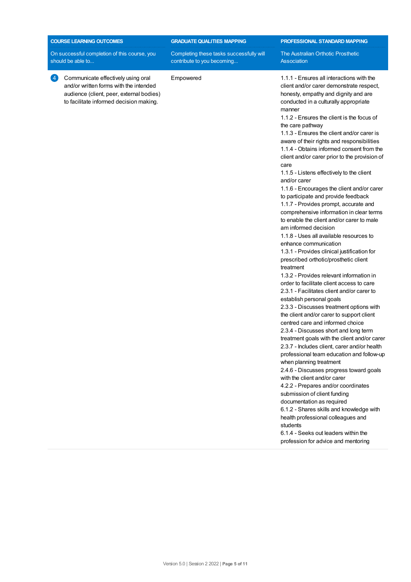|                                                                   | <b>COURSE LEARNING OUTCOMES</b>                                                                                                                                     | <b>GRADUATE QUALITIES MAPPING</b>                                      | PROFESSIONAL STANDARD MAPPING                                                                                                                                                                                                                                                                                                                                                                                                                                                                                     |
|-------------------------------------------------------------------|---------------------------------------------------------------------------------------------------------------------------------------------------------------------|------------------------------------------------------------------------|-------------------------------------------------------------------------------------------------------------------------------------------------------------------------------------------------------------------------------------------------------------------------------------------------------------------------------------------------------------------------------------------------------------------------------------------------------------------------------------------------------------------|
| On successful completion of this course, you<br>should be able to |                                                                                                                                                                     | Completing these tasks successfully will<br>contribute to you becoming | The Australian Orthotic Prosthetic<br>Association                                                                                                                                                                                                                                                                                                                                                                                                                                                                 |
| 4                                                                 | Communicate effectively using oral<br>and/or written forms with the intended<br>audience (client, peer, external bodies)<br>to facilitate informed decision making. | Empowered                                                              | 1.1.1 - Ensures all interactions with the<br>client and/or carer demonstrate respect,<br>honesty, empathy and dignity and are<br>conducted in a culturally appropriate<br>manner<br>1.1.2 - Ensures the client is the focus of<br>the care pathway<br>1.1.3 - Ensures the client and/or carer is<br>aware of their rights and responsibilities<br>1.1.4 - Obtains informed consent from the<br>client and/or carer prior to the provision of<br>care<br>1.1.5 - Listens effectively to the client<br>and/or carer |

1.1.6 - Encourages the client and/or carer to participate and provide feedback 1.1.7 - Provides prompt, accurate and comprehensive information in clear terms to enable the client and/or carer to male am informed decision

1.1.8 - Uses all available resources to enhance communication

1.3.1 - Provides clinical justification for prescribed orthotic/prosthetic client treatment

1.3.2 - Provides relevant information in order to facilitate client access to care 2.3.1 - Facilitates client and/or carer to establish personal goals

2.3.3 - Discusses treatment options with the client and/or carer to support client centred care and informed choice 2.3.4 - Discusses short and long term

treatment goals with the client and/or carer 2.3.7 - Includes client, carer and/or health

professional team education and follow-up when planning treatment

2.4.6 - Discusses progress toward goals with the client and/or carer

4.2.2 - Prepares and/or coordinates submission of client funding

documentation as required

6.1.2 - Shares skills and knowledge with health professional colleagues and students

6.1.4 - Seeks out leaders within the profession for advice and mentoring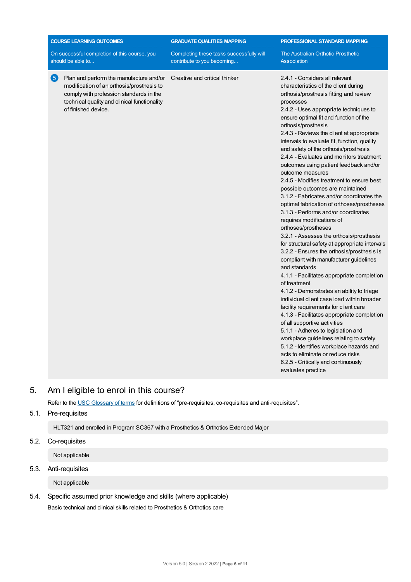|   | <b>COURSE LEARNING OUTCOMES</b>                                                                                                                                                                        | <b>GRADUATE QUALITIES MAPPING</b>                                      | PROFESSIONAL STANDARD MAPPING                                                                                                                                                                                                                                                                                                                                                                                                                                                                                                                                                                                                                                                                                                                                                                                                                                                                                                                                                                                                                                                                                                                                                                                                                                                                                                                                                                                                                                                         |
|---|--------------------------------------------------------------------------------------------------------------------------------------------------------------------------------------------------------|------------------------------------------------------------------------|---------------------------------------------------------------------------------------------------------------------------------------------------------------------------------------------------------------------------------------------------------------------------------------------------------------------------------------------------------------------------------------------------------------------------------------------------------------------------------------------------------------------------------------------------------------------------------------------------------------------------------------------------------------------------------------------------------------------------------------------------------------------------------------------------------------------------------------------------------------------------------------------------------------------------------------------------------------------------------------------------------------------------------------------------------------------------------------------------------------------------------------------------------------------------------------------------------------------------------------------------------------------------------------------------------------------------------------------------------------------------------------------------------------------------------------------------------------------------------------|
|   | On successful completion of this course, you<br>should be able to                                                                                                                                      | Completing these tasks successfully will<br>contribute to you becoming | The Australian Orthotic Prosthetic<br>Association                                                                                                                                                                                                                                                                                                                                                                                                                                                                                                                                                                                                                                                                                                                                                                                                                                                                                                                                                                                                                                                                                                                                                                                                                                                                                                                                                                                                                                     |
| 6 | Plan and perform the manufacture and/or<br>modification of an orthosis/prosthesis to<br>comply with profession standards in the<br>technical quality and clinical functionality<br>of finished device. | Creative and critical thinker                                          | 2.4.1 - Considers all relevant<br>characteristics of the client during<br>orthosis/prosthesis fitting and review<br>processes<br>2.4.2 - Uses appropriate techniques to<br>ensure optimal fit and function of the<br>orthosis/prosthesis<br>2.4.3 - Reviews the client at appropriate<br>intervals to evaluate fit, function, quality<br>and safety of the orthosis/prosthesis<br>2.4.4 - Evaluates and monitors treatment<br>outcomes using patient feedback and/or<br>outcome measures<br>2.4.5 - Modifies treatment to ensure best<br>possible outcomes are maintained<br>3.1.2 - Fabricates and/or coordinates the<br>optimal fabrication of orthoses/prostheses<br>3.1.3 - Performs and/or coordinates<br>requires modifications of<br>orthoses/prostheses<br>3.2.1 - Assesses the orthosis/prosthesis<br>for structural safety at appropriate intervals<br>3.2.2 - Ensures the orthosis/prosthesis is<br>compliant with manufacturer guidelines<br>and standards<br>4.1.1 - Facilitates appropriate completion<br>of treatment<br>4.1.2 - Demonstrates an ability to triage<br>individual client case load within broader<br>facility requirements for client care<br>4.1.3 - Facilitates appropriate completion<br>of all supportive activities<br>5.1.1 - Adheres to legislation and<br>workplace guidelines relating to safety<br>5.1.2 - Identifies workplace hazards and<br>acts to eliminate or reduce risks<br>6.2.5 - Critically and continuously<br>evaluates practice |

# 5. Am Ieligible to enrol in this course?

Refer to the USC [Glossary](https://www.usc.edu.au/about/policies-and-procedures/glossary-of-terms-for-policy-and-procedures) of terms for definitions of "pre-requisites, co-requisites and anti-requisites".

#### 5.1. Pre-requisites

HLT321 and enrolled in Program SC367 with a Prosthetics & Orthotics Extended Major

## 5.2. Co-requisites

Not applicable

# 5.3. Anti-requisites

Not applicable

5.4. Specific assumed prior knowledge and skills (where applicable) Basic technical and clinical skills related to Prosthetics & Orthotics care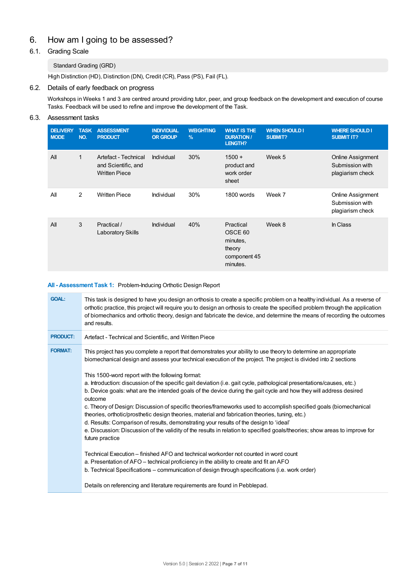# 6. How am Igoing to be assessed?

# 6.1. Grading Scale

#### Standard Grading (GRD)

High Distinction (HD), Distinction (DN), Credit (CR), Pass (PS), Fail (FL).

#### 6.2. Details of early feedback on progress

Workshops in Weeks 1 and 3 are centred around providing tutor, peer, and group feedback on the development and execution of course Tasks. Feedback will be used to refine and improve the development of the Task.

#### 6.3. Assessment tasks

| <b>DELIVERY</b><br><b>MODE</b> | <b>TASK</b><br>NO. | <b>ASSESSMENT</b><br><b>PRODUCT</b>                                 | <b>INDIVIDUAL</b><br><b>OR GROUP</b> | <b>WEIGHTING</b><br>$\frac{9}{6}$ | <b>WHAT IS THE</b><br><b>DURATION /</b><br><b>LENGTH?</b>                         | <b>WHEN SHOULD I</b><br><b>SUBMIT?</b> | <b>WHERE SHOULD I</b><br><b>SUBMIT IT?</b>               |
|--------------------------------|--------------------|---------------------------------------------------------------------|--------------------------------------|-----------------------------------|-----------------------------------------------------------------------------------|----------------------------------------|----------------------------------------------------------|
| All                            | $\mathbf{1}$       | Artefact - Technical<br>and Scientific, and<br><b>Written Piece</b> | <b>Individual</b>                    | 30%                               | $1500 +$<br>product and<br>work order<br>sheet                                    | Week 5                                 | Online Assignment<br>Submission with<br>plagiarism check |
| All                            | 2                  | <b>Written Piece</b>                                                | Individual                           | 30%                               | 1800 words                                                                        | Week 7                                 | Online Assignment<br>Submission with<br>plagiarism check |
| All                            | 3                  | Practical /<br><b>Laboratory Skills</b>                             | Individual                           | 40%                               | Practical<br>OSCE <sub>60</sub><br>minutes,<br>theory<br>component 45<br>minutes. | Week 8                                 | In Class                                                 |

#### **All - Assessment Task 1:** Problem-Inducing Orthotic Design Report

| <b>GOAL:</b>    | This task is designed to have you design an orthosis to create a specific problem on a healthy individual. As a reverse of<br>orthotic practice, this project will require you to design an orthosis to create the specified problem through the application<br>of biomechanics and orthotic theory, design and fabricate the device, and determine the means of recording the outcomes<br>and results.                                                                                                                                                                                                                                                                                                                                                                                                                                                                                                                                                                                                                                                                                                                                                                                                                                                                                                  |
|-----------------|----------------------------------------------------------------------------------------------------------------------------------------------------------------------------------------------------------------------------------------------------------------------------------------------------------------------------------------------------------------------------------------------------------------------------------------------------------------------------------------------------------------------------------------------------------------------------------------------------------------------------------------------------------------------------------------------------------------------------------------------------------------------------------------------------------------------------------------------------------------------------------------------------------------------------------------------------------------------------------------------------------------------------------------------------------------------------------------------------------------------------------------------------------------------------------------------------------------------------------------------------------------------------------------------------------|
| <b>PRODUCT:</b> | Artefact - Technical and Scientific, and Written Piece                                                                                                                                                                                                                                                                                                                                                                                                                                                                                                                                                                                                                                                                                                                                                                                                                                                                                                                                                                                                                                                                                                                                                                                                                                                   |
| <b>FORMAT:</b>  | This project has you complete a report that demonstrates your ability to use theory to determine an appropriate<br>biomechanical design and assess your technical execution of the project. The project is divided into 2 sections<br>This 1500-word report with the following format:<br>a. Introduction: discussion of the specific gait deviation (i.e. gait cycle, pathological presentations/causes, etc.)<br>b. Device goals: what are the intended goals of the device during the gait cycle and how they will address desired<br>outcome<br>c. Theory of Design: Discussion of specific theories/frameworks used to accomplish specified goals (biomechanical<br>theories, orthotic/prosthetic design theories, material and fabrication theories, tuning, etc.)<br>d. Results: Comparison of results, demonstrating your results of the design to 'ideal'<br>e. Discussion: Discussion of the validity of the results in relation to specified goals/theories; show areas to improve for<br>future practice<br>Technical Execution – finished AFO and technical workorder not counted in word count<br>a. Presentation of AFO – technical proficiency in the ability to create and fit an AFO<br>b. Technical Specifications – communication of design through specifications (i.e. work order) |
|                 | Details on referencing and literature requirements are found in Pebblepad.                                                                                                                                                                                                                                                                                                                                                                                                                                                                                                                                                                                                                                                                                                                                                                                                                                                                                                                                                                                                                                                                                                                                                                                                                               |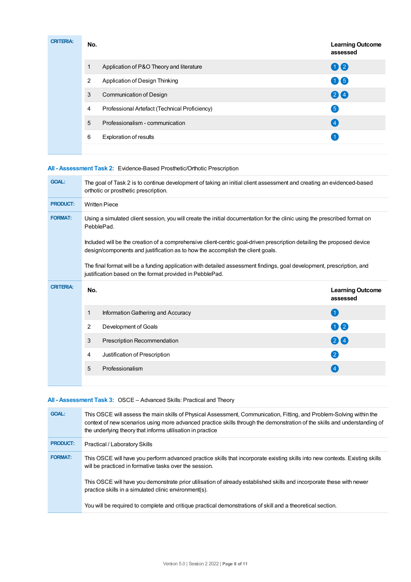| <b>CRITERIA:</b> | No. |                                               | <b>Learning Outcome</b><br>assessed |
|------------------|-----|-----------------------------------------------|-------------------------------------|
|                  |     | Application of P&O Theory and literature      | 00                                  |
|                  | 2   | Application of Design Thinking                | 06                                  |
|                  | 3   | Communication of Design                       | 20                                  |
|                  | 4   | Professional Artefact (Technical Proficiency) | $\left(5\right)$                    |
|                  | 5   | Professionalism - communication               | (4)                                 |
|                  | 6   | <b>Exploration of results</b>                 |                                     |
|                  |     |                                               |                                     |

#### **All - Assessment Task 2:** Evidence-Based Prosthetic/Orthotic Prescription

| <b>GOAL:</b>     | The goal of Task 2 is to continue development of taking an initial client assessment and creating an evidenced-based<br>orthotic or prosthetic prescription.                                             |                                     |  |  |
|------------------|----------------------------------------------------------------------------------------------------------------------------------------------------------------------------------------------------------|-------------------------------------|--|--|
| <b>PRODUCT:</b>  | <b>Written Piece</b>                                                                                                                                                                                     |                                     |  |  |
| <b>FORMAT:</b>   | Using a simulated client session, you will create the initial documentation for the clinic using the prescribed format on<br>PebblePad.                                                                  |                                     |  |  |
|                  | Included will be the creation of a comprehensive client-centric goal-driven prescription detailing the proposed device<br>design/components and justification as to how the accomplish the client goals. |                                     |  |  |
|                  | The final format will be a funding application with detailed assessment findings, goal development, prescription, and                                                                                    |                                     |  |  |
| <b>CRITERIA:</b> | No.                                                                                                                                                                                                      | <b>Learning Outcome</b><br>assessed |  |  |
|                  | Information Gathering and Accuracy<br>1                                                                                                                                                                  | (1)                                 |  |  |
|                  | $\overline{2}$<br>Development of Goals                                                                                                                                                                   | 0 2                                 |  |  |
|                  | 3<br>Prescription Recommendation                                                                                                                                                                         | 24                                  |  |  |
|                  | Justification of Prescription<br>4                                                                                                                                                                       | $\left( 2\right)$                   |  |  |
|                  | 5<br>Professionalism                                                                                                                                                                                     | $\overline{4}$                      |  |  |

#### **All - Assessment Task 3:** OSCE – Advanced Skills: Practical and Theory

| <b>GOAL:</b>    | This OSCE will assess the main skills of Physical Assessment, Communication, Fitting, and Problem-Solving within the<br>context of new scenarios using more advanced practice skills through the demonstration of the skills and understanding of<br>the underlying theory that informs utilisation in practice |
|-----------------|-----------------------------------------------------------------------------------------------------------------------------------------------------------------------------------------------------------------------------------------------------------------------------------------------------------------|
| <b>PRODUCT:</b> | Practical / Laboratory Skills                                                                                                                                                                                                                                                                                   |
| <b>FORMAT:</b>  | This OSCE will have you perform advanced practice skills that incorporate existing skills into new contexts. Existing skills<br>will be practiced in formative tasks over the session.                                                                                                                          |
|                 | This OSCE will have you demonstrate prior utilisation of already established skills and incorporate these with newer<br>practice skills in a simulated clinic environment(s).                                                                                                                                   |
|                 | You will be required to complete and critique practical demonstrations of skill and a theoretical section.                                                                                                                                                                                                      |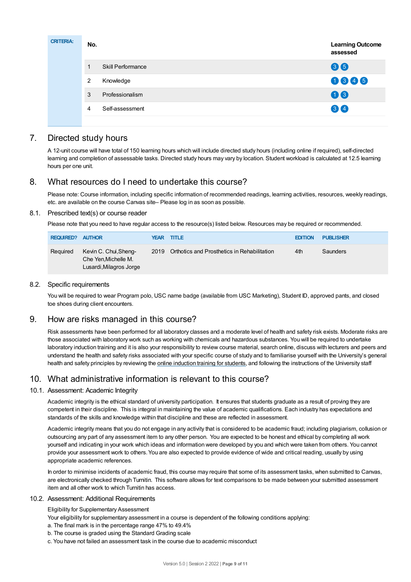| <b>CRITERIA:</b> | No. |                   | <b>Learning Outcome</b><br>assessed |
|------------------|-----|-------------------|-------------------------------------|
|                  | 4   | Skill Performance | 66                                  |
|                  | 2   | Knowledge         | 0006                                |
|                  | 3   | Professionalism   | 06                                  |
|                  | 4   | Self-assessment   | 34                                  |
|                  |     |                   |                                     |

# 7. Directed study hours

A 12-unit course will have total of 150 learning hours which will include directed study hours (including online if required), self-directed learning and completion of assessable tasks. Directed study hours may vary by location. Student workload is calculated at 12.5 learning hours per one unit.

# 8. What resources do I need to undertake this course?

Please note: Course information, including specific information of recommended readings, learning activities, resources, weekly readings, etc. are available on the course Canvas site– Please log in as soon as possible.

#### 8.1. Prescribed text(s) or course reader

Please note that you need to have regular access to the resource(s) listed below. Resources may be required or recommended.

| <b>REQUIRED? AUTHOR</b> |                                                                          | <b>YEAR TITLE</b>                                | <b>EDITION</b> | <b>PUBLISHER</b> |
|-------------------------|--------------------------------------------------------------------------|--------------------------------------------------|----------------|------------------|
| Required                | Kevin C. Chui, Sheng-<br>Che Yen, Michelle M.<br>Lusardi, Milagros Jorge | 2019 Orthotics and Prosthetics in Rehabilitation | 4th            | Saunders         |

#### 8.2. Specific requirements

You will be required to wear Program polo, USC name badge (available from USC Marketing), Student ID, approved pants, and closed toe shoes during client encounters.

# 9. How are risks managed in this course?

Risk assessments have been performed for all laboratory classes and a moderate level of health and safety risk exists. Moderate risks are those associated with laboratory work such as working with chemicals and hazardous substances. You will be required to undertake laboratory induction training and it is also your responsibility to review course material, search online, discuss with lecturers and peers and understand the health and safety risks associated with your specific course of study and to familiarise yourself with the University's general health and safety principles by reviewing the online [induction](https://online.usc.edu.au/webapps/blackboard/content/listContentEditable.jsp?content_id=_632657_1&course_id=_14432_1) training for students, and following the instructions of the University staff

# 10. What administrative information is relevant to this course?

#### 10.1. Assessment: Academic Integrity

Academic integrity is the ethical standard of university participation. It ensures that students graduate as a result of proving they are competent in their discipline. This is integral in maintaining the value of academic qualifications. Each industry has expectations and standards of the skills and knowledge within that discipline and these are reflected in assessment.

Academic integrity means that you do not engage in any activity that is considered to be academic fraud; including plagiarism, collusion or outsourcing any part of any assessment item to any other person. You are expected to be honest and ethical by completing all work yourself and indicating in your work which ideas and information were developed by you and which were taken from others. You cannot provide your assessment work to others.You are also expected to provide evidence of wide and critical reading, usually by using appropriate academic references.

In order to minimise incidents of academic fraud, this course may require that some of its assessment tasks, when submitted to Canvas, are electronically checked through Turnitin. This software allows for text comparisons to be made between your submitted assessment item and all other work to which Turnitin has access.

#### 10.2. Assessment: Additional Requirements

Eligibility for Supplementary Assessment

Your eligibility for supplementary assessment in a course is dependent of the following conditions applying:

- a. The final mark is in the percentage range 47% to 49.4%
- b. The course is graded using the Standard Grading scale
- c. You have not failed an assessment task in the course due to academic misconduct